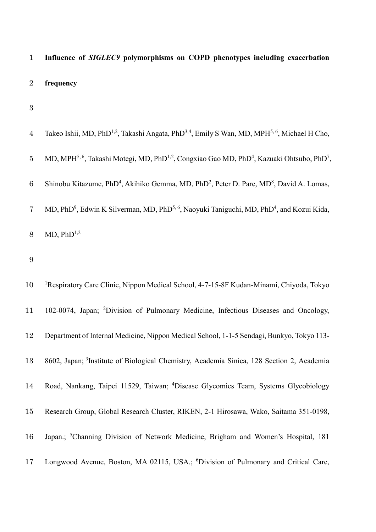|             | Influence of <i>SIGLEC9</i> polymorphisms on COPD phenotypes including exacerbation |  |  |  |
|-------------|-------------------------------------------------------------------------------------|--|--|--|
|             |                                                                                     |  |  |  |
| 2 frequency |                                                                                     |  |  |  |

| $\overline{4}$ | Takeo Ishii, MD, PhD <sup>1,2</sup> , Takashi Angata, PhD <sup>3,4</sup> , Emily S Wan, MD, MPH <sup>5,6</sup> , Michael H Cho,            |
|----------------|--------------------------------------------------------------------------------------------------------------------------------------------|
| $\overline{5}$ | MD, MPH <sup>5, 6</sup> , Takashi Motegi, MD, PhD <sup>1,2</sup> , Congxiao Gao MD, PhD <sup>4</sup> , Kazuaki Ohtsubo, PhD <sup>7</sup> , |
| 6              | Shinobu Kitazume, PhD <sup>4</sup> , Akihiko Gemma, MD, PhD <sup>2</sup> , Peter D. Pare, MD <sup>8</sup> , David A. Lomas,                |
|                | MD, PhD <sup>9</sup> , Edwin K Silverman, MD, PhD <sup>5,6</sup> , Naoyuki Taniguchi, MD, PhD <sup>4</sup> , and Kozui Kida,               |
| 8              | MD, $PhD^{1,2}$                                                                                                                            |

9

10 Respiratory Care Clinic, Nippon Medical School, 4-7-15-8F Kudan-Minami, Chiyoda, Tokyo 11 102-0074, Japan; <sup>2</sup> Division of Pulmonary Medicine, Infectious Diseases and Oncology, 12 Department of Internal Medicine, Nippon Medical School, 1-1-5 Sendagi, Bunkyo, Tokyo 113- 13 8602, Japan; <sup>3</sup> Institute of Biological Chemistry, Academia Sinica, 128 Section 2, Academia 14 Road, Nankang, Taipei 11529, Taiwan; <sup>4</sup>Disease Glycomics Team, Systems Glycobiology 15 Research Group, Global Research Cluster, RIKEN, 2-1 Hirosawa, Wako, Saitama 351-0198, 16 Japan.; <sup>5</sup>Channing Division of Network Medicine, Brigham and Women's Hospital, 181 17 Longwood Avenue, Boston, MA 02115, USA.; <sup>6</sup>Division of Pulmonary and Critical Care,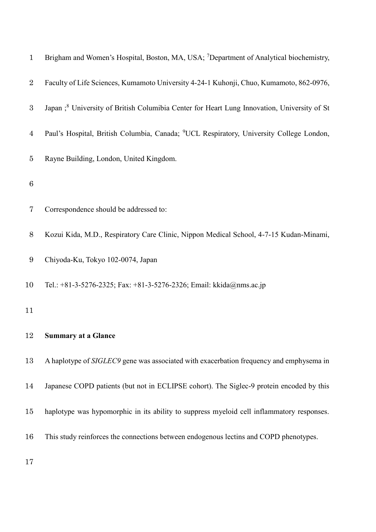| $\mathbf{1}$     | Brigham and Women's Hospital, Boston, MA, USA; <sup>7</sup> Department of Analytical biochemistry,     |
|------------------|--------------------------------------------------------------------------------------------------------|
| $\sqrt{2}$       | Faculty of Life Sciences, Kumamoto University 4-24-1 Kuhonji, Chuo, Kumamoto, 862-0976,                |
| $\boldsymbol{3}$ | Japan; <sup>8</sup> University of British Columibia Center for Heart Lung Innovation, University of St |
| $\overline{4}$   | Paul's Hospital, British Columbia, Canada; <sup>9</sup> UCL Respiratory, University College London,    |
| $\bf 5$          | Rayne Building, London, United Kingdom.                                                                |
| $\,6\,$          |                                                                                                        |
| $\overline{7}$   | Correspondence should be addressed to:                                                                 |
| $8\,$            | Kozui Kida, M.D., Respiratory Care Clinic, Nippon Medical School, 4-7-15 Kudan-Minami,                 |
| $9\,$            | Chiyoda-Ku, Tokyo 102-0074, Japan                                                                      |
| 10               | Tel.: +81-3-5276-2325; Fax: +81-3-5276-2326; Email: kkida@nms.ac.jp                                    |
| 11               |                                                                                                        |
| 12               | <b>Summary at a Glance</b>                                                                             |
| 13               | A haplotype of SIGLEC9 gene was associated with exacerbation frequency and emphysema in                |
| 14               | Japanese COPD patients (but not in ECLIPSE cohort). The Siglec-9 protein encoded by this               |
| 15               | haplotype was hypomorphic in its ability to suppress myeloid cell inflammatory responses.              |
| 16               | This study reinforces the connections between endogenous lectins and COPD phenotypes.                  |
| 17               |                                                                                                        |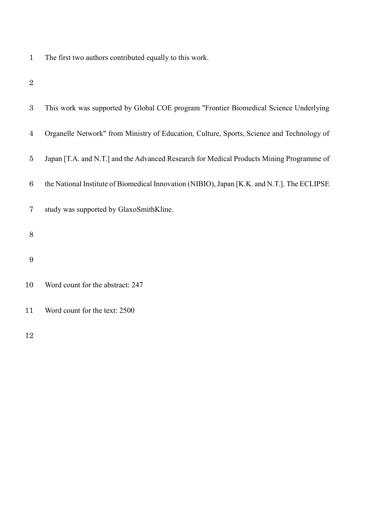The first two authors contributed equally to this work.

| 3              | This work was supported by Global COE program "Frontier Biomedical Science Underlying       |
|----------------|---------------------------------------------------------------------------------------------|
| 4              | Organelle Network" from Ministry of Education, Culture, Sports, Science and Technology of   |
| $\overline{5}$ | Japan [T.A. and N.T.] and the Advanced Research for Medical Products Mining Programme of    |
| 6              | the National Institute of Biomedical Innovation (NIBIO), Japan [K.K. and N.T.]. The ECLIPSE |
| 7              | study was supported by GlaxoSmithKline.                                                     |
| 8              |                                                                                             |
| 9              |                                                                                             |
| 10             | Word count for the abstract: 247                                                            |
| 11             | Word count for the text: 2500                                                               |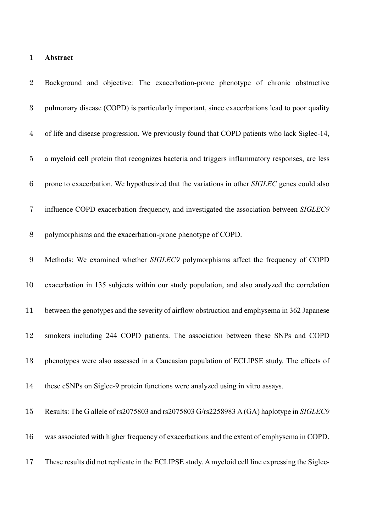#### **Abstract**

 Background and objective: The exacerbation-prone phenotype of chronic obstructive pulmonary disease (COPD) is particularly important, since exacerbations lead to poor quality of life and disease progression. We previously found that COPD patients who lack Siglec-14, a myeloid cell protein that recognizes bacteria and triggers inflammatory responses, are less prone to exacerbation. We hypothesized that the variations in other *SIGLEC* genes could also influence COPD exacerbation frequency, and investigated the association between *SIGLEC9* polymorphisms and the exacerbation-prone phenotype of COPD. Methods: We examined whether *SIGLEC9* polymorphisms affect the frequency of COPD exacerbation in 135 subjects within our study population, and also analyzed the correlation between the genotypes and the severity of airflow obstruction and emphysema in 362 Japanese smokers including 244 COPD patients. The association between these SNPs and COPD phenotypes were also assessed in a Caucasian population of ECLIPSE study. The effects of these cSNPs on Siglec-9 protein functions were analyzed using in vitro assays. Results: The G allele of rs2075803 and rs2075803 G/rs2258983 A (GA) haplotype in *SIGLEC9* was associated with higher frequency of exacerbations and the extent of emphysema in COPD. These results did not replicate in the ECLIPSE study. A myeloid cell line expressing the Siglec-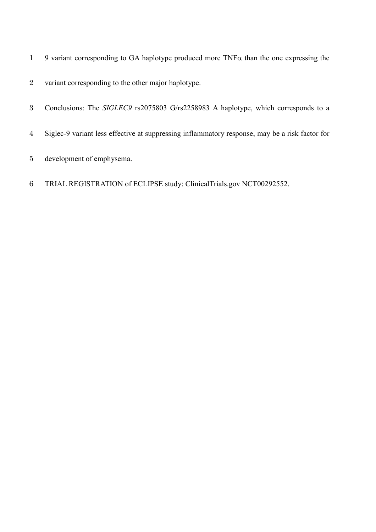- 1 9 variant corresponding to GA haplotype produced more  $TNF\alpha$  than the one expressing the
- variant corresponding to the other major haplotype.
- Conclusions: The *SIGLEC9* rs2075803 G/rs2258983 A haplotype, which corresponds to a
- Siglec-9 variant less effective at suppressing inflammatory response, may be a risk factor for
- development of emphysema.
- TRIAL REGISTRATION of ECLIPSE study: ClinicalTrials.gov NCT00292552.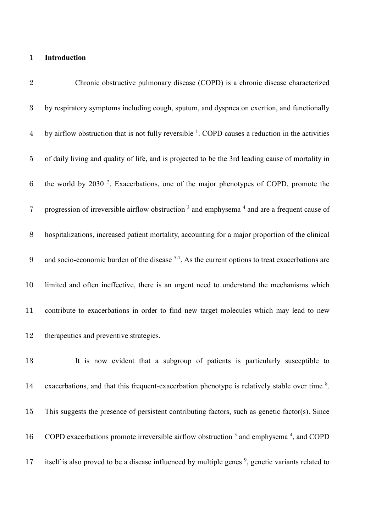#### **Introduction**

| $\overline{2}$   | Chronic obstructive pulmonary disease (COPD) is a chronic disease characterized                     |
|------------------|-----------------------------------------------------------------------------------------------------|
| $\boldsymbol{3}$ | by respiratory symptoms including cough, sputum, and dyspnea on exertion, and functionally          |
| $\overline{4}$   | by airflow obstruction that is not fully reversible $1$ . COPD causes a reduction in the activities |
| $\overline{5}$   | of daily living and quality of life, and is projected to be the 3rd leading cause of mortality in   |
| $\,6$            | the world by 2030 <sup>2</sup> . Exacerbations, one of the major phenotypes of COPD, promote the    |
| 7                | progression of irreversible airflow obstruction $3$ and emphysema $4$ and are a frequent cause of   |
| $8\,$            | hospitalizations, increased patient mortality, accounting for a major proportion of the clinical    |
| $\boldsymbol{9}$ | and socio-economic burden of the disease $5-7$ . As the current options to treat exacerbations are  |
| 10               | limited and often ineffective, there is an urgent need to understand the mechanisms which           |
| 11               | contribute to exacerbations in order to find new target molecules which may lead to new             |
| 12               | therapeutics and preventive strategies.                                                             |
| 13               | It is now evident that a subproun of patients is particularly susceptible to                        |

 It is now evident that a subgroup of patients is particularly susceptible to 14 exacerbations, and that this frequent-exacerbation phenotype is relatively stable over time <sup>8</sup>. This suggests the presence of persistent contributing factors, such as genetic factor(s). Since 16 COPD exacerbations promote irreversible airflow obstruction <sup>3</sup> and emphysema<sup>4</sup>, and COPD 17 itself is also proved to be a disease influenced by multiple genes<sup>9</sup>, genetic variants related to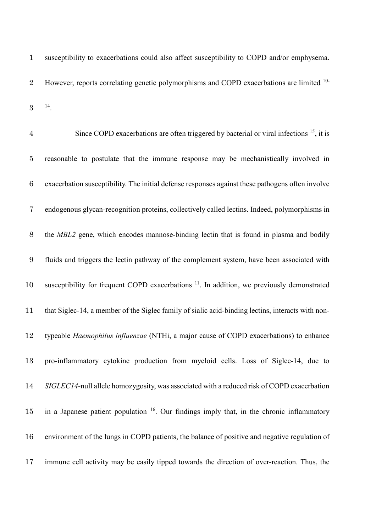susceptibility to exacerbations could also affect susceptibility to COPD and/or emphysema. 2 However, reports correlating genetic polymorphisms and COPD exacerbations are limited <sup>10-</sup>  $3^{14}$ .

4 Since COPD exacerbations are often triggered by bacterial or viral infections <sup>15</sup>, it is reasonable to postulate that the immune response may be mechanistically involved in exacerbation susceptibility. The initial defense responses against these pathogens often involve endogenous glycan-recognition proteins, collectively called lectins. Indeed, polymorphisms in the *MBL2* gene, which encodes mannose-binding lectin that is found in plasma and bodily fluids and triggers the lectin pathway of the complement system, have been associated with 10 susceptibility for frequent COPD exacerbations . In addition, we previously demonstrated that Siglec-14, a member of the Siglec family of sialic acid-binding lectins, interacts with non- typeable *Haemophilus influenzae* (NTHi, a major cause of COPD exacerbations) to enhance pro-inflammatory cytokine production from myeloid cells. Loss of Siglec-14, due to *SIGLEC14*-null allele homozygosity, was associated with a reduced risk of COPD exacerbation 15 in a Japanese patient population . Our findings imply that, in the chronic inflammatory environment of the lungs in COPD patients, the balance of positive and negative regulation of immune cell activity may be easily tipped towards the direction of over-reaction. Thus, the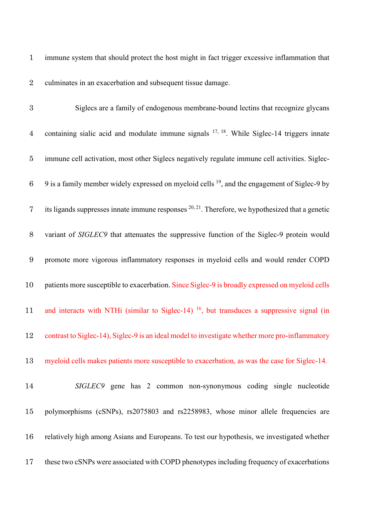immune system that should protect the host might in fact trigger excessive inflammation that culminates in an exacerbation and subsequent tissue damage.

| 3                | Siglecs are a family of endogenous membrane-bound lectins that recognize glycans                       |
|------------------|--------------------------------------------------------------------------------------------------------|
| $\overline{4}$   | containing sialic acid and modulate immune signals <sup>17, 18</sup> . While Siglec-14 triggers innate |
| $\overline{5}$   | immune cell activation, most other Siglecs negatively regulate immune cell activities. Siglec-         |
| $\,6\,$          | 9 is a family member widely expressed on myeloid cells $19$ , and the engagement of Siglec-9 by        |
| 7                | its ligands suppresses innate immune responses $20, 21$ . Therefore, we hypothesized that a genetic    |
| $8\,$            | variant of SIGLEC9 that attenuates the suppressive function of the Siglec-9 protein would              |
| $\boldsymbol{9}$ | promote more vigorous inflammatory responses in myeloid cells and would render COPD                    |
| 10               | patients more susceptible to exacerbation. Since Siglec-9 is broadly expressed on myeloid cells        |
| 11               | and interacts with NTHi (similar to Siglec-14) <sup>16</sup> , but transduces a suppressive signal (in |
| 12               | contrast to Siglec-14), Siglec-9 is an ideal model to investigate whether more pro-inflammatory        |
| 13               | myeloid cells makes patients more susceptible to exacerbation, as was the case for Siglec-14.          |
| 14               | SIGLEC9 gene has 2 common non-synonymous coding single nucleotide                                      |
| 15               | polymorphisms (cSNPs), rs2075803 and rs2258983, whose minor allele frequencies are                     |
| 16               | relatively high among Asians and Europeans. To test our hypothesis, we investigated whether            |
| 17               | these two cSNPs were associated with COPD phenotypes including frequency of exacerbations              |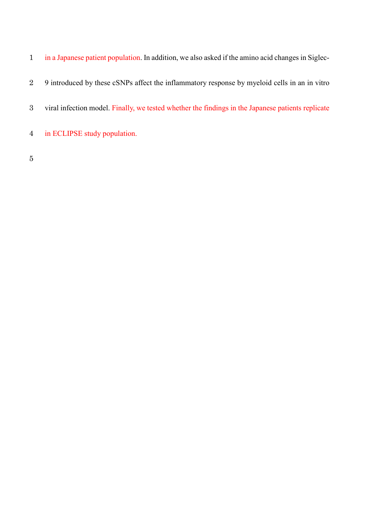in a Japanese patient population. In addition, we also asked if the amino acid changes in Siglec- 9 introduced by these cSNPs affect the inflammatory response by myeloid cells in an in vitro viral infection model. Finally, we tested whether the findings in the Japanese patients replicate in ECLIPSE study population.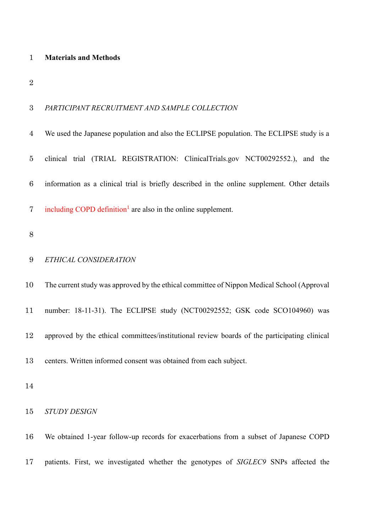## **Materials and Methods**

| ٠      |
|--------|
|        |
| ł<br>ł |
|        |
|        |

| 3              | PARTICIPANT RECRUITMENT AND SAMPLE COLLECTION                                                |
|----------------|----------------------------------------------------------------------------------------------|
| $\overline{4}$ | We used the Japanese population and also the ECLIPSE population. The ECLIPSE study is a      |
| $\overline{5}$ | clinical trial (TRIAL REGISTRATION: ClinicalTrials.gov NCT00292552.), and the                |
| 6              | information as a clinical trial is briefly described in the online supplement. Other details |
| 7              | including COPD definition <sup>1</sup> are also in the online supplement.                    |
| 8              |                                                                                              |
| 9              | ETHICAL CONSIDERATION                                                                        |
| 10             | The current study was approved by the ethical committee of Nippon Medical School (Approval   |
| 11             | number: 18-11-31). The ECLIPSE study (NCT00292552; GSK code SCO104960) was                   |
| 12             | approved by the ethical committees/institutional review boards of the participating clinical |
| 13             | centers. Written informed consent was obtained from each subject.                            |
| 14             |                                                                                              |
| 15             | <b>STUDY DESIGN</b>                                                                          |
| 16             | We obtained 1-year follow-up records for exacerbations from a subset of Japanese COPD        |

patients. First, we investigated whether the genotypes of *SIGLEC9* SNPs affected the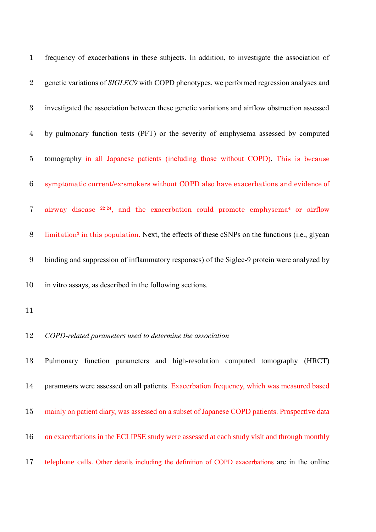| $\mathbf{1}$     | frequency of exacerbations in these subjects. In addition, to investigate the association of                |
|------------------|-------------------------------------------------------------------------------------------------------------|
| $\overline{2}$   | genetic variations of SIGLEC9 with COPD phenotypes, we performed regression analyses and                    |
| $\boldsymbol{3}$ | investigated the association between these genetic variations and airflow obstruction assessed              |
| $\overline{4}$   | by pulmonary function tests (PFT) or the severity of emphysema assessed by computed                         |
| $\bf 5$          | tomography in all Japanese patients (including those without COPD). This is because                         |
| $\boldsymbol{6}$ | symptomatic current/ex-smokers without COPD also have exacerbations and evidence of                         |
| 7                | airway disease $22-24$ , and the exacerbation could promote emphysema <sup>4</sup> or airflow               |
| 8                | limitation <sup>3</sup> in this population. Next, the effects of these cSNPs on the functions (i.e., glycan |
| 9                | binding and suppression of inflammatory responses) of the Siglec-9 protein were analyzed by                 |
| 10               | in vitro assays, as described in the following sections.                                                    |
| 11               |                                                                                                             |
| 12               | COPD-related parameters used to determine the association                                                   |
| 13               | Pulmonary function parameters and high-resolution computed tomography (HRCT)                                |
| 14               | parameters were assessed on all patients. Exacerbation frequency, which was measured based                  |

on exacerbations in the ECLIPSE study were assessed at each study visit and through monthly

mainly on patient diary, was assessed on a subset of Japanese COPD patients. Prospective data

telephone calls. Other details including the definition of COPD exacerbations are in the online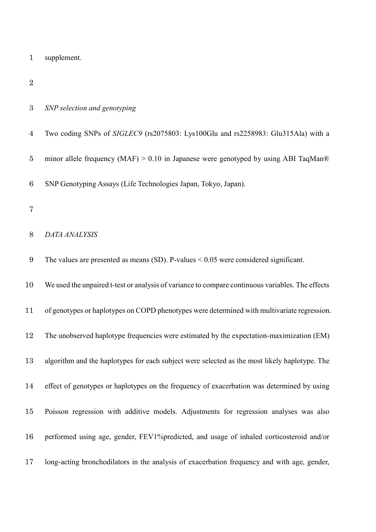| supplement. |
|-------------|
|             |

| 3              | SNP selection and genotyping                                                                     |
|----------------|--------------------------------------------------------------------------------------------------|
| $\overline{4}$ | Two coding SNPs of SIGLEC9 (rs2075803: Lys100Glu and rs2258983: Glu315Ala) with a                |
| $\overline{5}$ | minor allele frequency (MAF) $> 0.10$ in Japanese were genotyped by using ABI TaqMan®            |
| 6              | SNP Genotyping Assays (Life Technologies Japan, Tokyo, Japan).                                   |
| 7              |                                                                                                  |
| 8              | DATA ANALYSIS                                                                                    |
| 9              | The values are presented as means (SD). P-values $\leq 0.05$ were considered significant.        |
| 10             | We used the unpaired t-test or analysis of variance to compare continuous variables. The effects |
| 11             | of genotypes or haplotypes on COPD phenotypes were determined with multivariate regression.      |
| 12             | The unobserved haplotype frequencies were estimated by the expectation-maximization (EM)         |
| 13             | algorithm and the haplotypes for each subject were selected as the most likely haplotype. The    |
| 14             | effect of genotypes or haplotypes on the frequency of exacerbation was determined by using       |
| 15             | Poisson regression with additive models. Adjustments for regression analyses was also            |
| 16             | performed using age, gender, FEV1% predicted, and usage of inhaled corticosteroid and/or         |
| 17             | long-acting bronchodilators in the analysis of exacerbation frequency and with age, gender,      |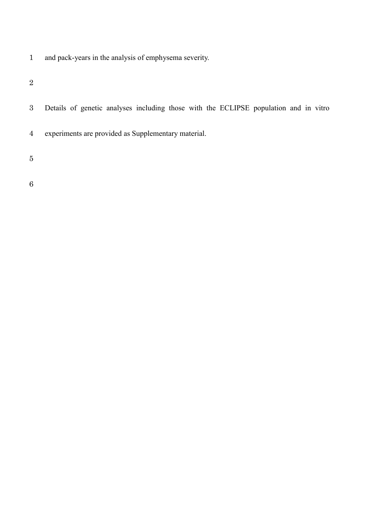- and pack-years in the analysis of emphysema severity.
- 
- Details of genetic analyses including those with the ECLIPSE population and in vitro

experiments are provided as Supplementary material.

- 
-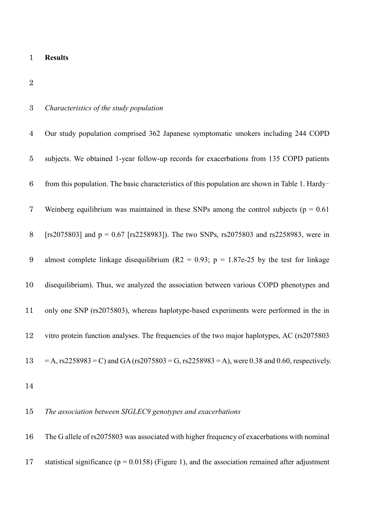#### **Results**

### *Characteristics of the study population*

| $\overline{4}$  | Our study population comprised 362 Japanese symptomatic smokers including 244 COPD                   |
|-----------------|------------------------------------------------------------------------------------------------------|
| $\overline{5}$  | subjects. We obtained 1-year follow-up records for exacerbations from 135 COPD patients              |
| 6               | from this population. The basic characteristics of this population are shown in Table 1. Hardy-      |
| 7               | Weinberg equilibrium was maintained in these SNPs among the control subjects ( $p = 0.61$ )          |
| 8               | [ $rs2075803$ ] and $p = 0.67$ [ $rs2258983$ ]). The two SNPs, $rs2075803$ and $rs2258983$ , were in |
| $9\phantom{.0}$ | almost complete linkage disequilibrium ( $R2 = 0.93$ ; $p = 1.87e-25$ by the test for linkage        |
| 10              | disequilibrium). Thus, we analyzed the association between various COPD phenotypes and               |
| 11              | only one SNP (rs2075803), whereas haplotype-based experiments were performed in the in               |
| 12              | vitro protein function analyses. The frequencies of the two major haplotypes, AC (rs2075803)         |
| 13              | $=$ A, rs2258983 = C) and GA (rs2075803 = G, rs2258983 = A), were 0.38 and 0.60, respectively.       |
|                 |                                                                                                      |

### *The association between SIGLEC9 genotypes and exacerbations*

 The G allele of rs2075803 was associated with higher frequency of exacerbations with nominal 17 statistical significance ( $p = 0.0158$ ) (Figure 1), and the association remained after adjustment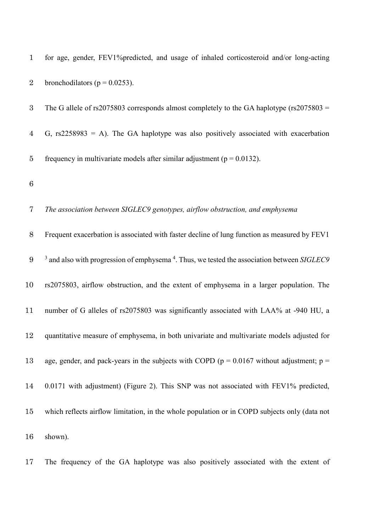| $\mathbf{1}$     | for age, gender, FEV1%predicted, and usage of inhaled corticosteroid and/or long-acting          |
|------------------|--------------------------------------------------------------------------------------------------|
| $\boldsymbol{2}$ | bronchodilators ( $p = 0.0253$ ).                                                                |
| $\sqrt{3}$       | The G allele of $rs2075803$ corresponds almost completely to the GA haplotype ( $rs2075803 =$    |
| $\overline{4}$   | G, $rs2258983 = A$ ). The GA haplotype was also positively associated with exacerbation          |
| $\overline{5}$   | frequency in multivariate models after similar adjustment ( $p = 0.0132$ ).                      |
| $\,6\,$          |                                                                                                  |
| 7                | The association between SIGLEC9 genotypes, airflow obstruction, and emphysema                    |
| $8\,$            | Frequent exacerbation is associated with faster decline of lung function as measured by FEV1     |
| $9\phantom{.0}$  | $3$ and also with progression of emphysema $4$ . Thus, we tested the association between SIGLEC9 |
| 10               | rs2075803, airflow obstruction, and the extent of emphysema in a larger population. The          |
| 11               | number of G alleles of rs2075803 was significantly associated with LAA% at -940 HU, a            |
| $12\,$           | quantitative measure of emphysema, in both univariate and multivariate models adjusted for       |
| 13               | age, gender, and pack-years in the subjects with COPD ( $p = 0.0167$ without adjustment; $p =$   |
| 14               | 0.0171 with adjustment) (Figure 2). This SNP was not associated with FEV1% predicted,            |
| 15               | which reflects airflow limitation, in the whole population or in COPD subjects only (data not    |
| 16               | shown).                                                                                          |

The frequency of the GA haplotype was also positively associated with the extent of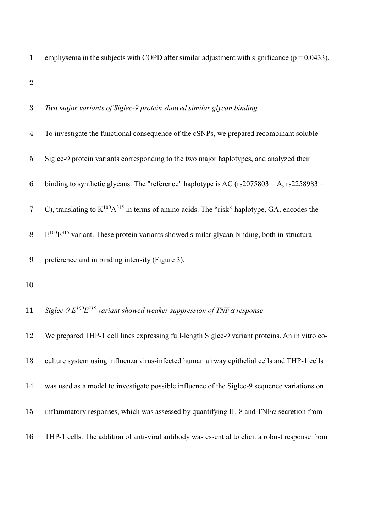- 1 emphysema in the subjects with COPD after similar adjustment with significance ( $p = 0.0433$ ).
- 

## *Two major variants of Siglec-9 protein showed similar glycan binding*

| 4              | To investigate the functional consequence of the cSNPs, we prepared recombinant soluble            |
|----------------|----------------------------------------------------------------------------------------------------|
| $\overline{5}$ | Siglec-9 protein variants corresponding to the two major haplotypes, and analyzed their            |
| 6              | binding to synthetic glycans. The "reference" haplotype is AC ( $rs2075803 = A$ , $rs2258983 =$    |
| $\overline{7}$ | C), translating to $K^{100}A^{315}$ in terms of amino acids. The "risk" haplotype, GA, encodes the |
| 8              | $E^{100}E^{315}$ variant. These protein variants showed similar glycan binding, both in structural |
| 9              | preference and in binding intensity (Figure 3).                                                    |
| 10             |                                                                                                    |
| 11             | Siglec-9 $E^{100}E^{315}$ variant showed weaker suppression of TNF $\alpha$ response               |
| 12             | We prepared THP-1 cell lines expressing full-length Siglec-9 variant proteins. An in vitro co-     |

- culture system using influenza virus-infected human airway epithelial cells and THP-1 cells
- was used as a model to investigate possible influence of the Siglec-9 sequence variations on
- 15 inflammatory responses, which was assessed by quantifying IL-8 and TNF $\alpha$  secretion from
- THP-1 cells. The addition of anti-viral antibody was essential to elicit a robust response from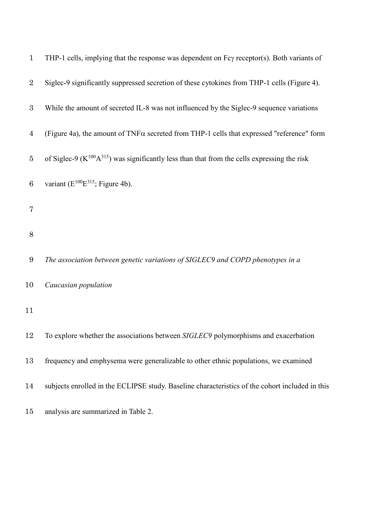| $\mathbf{1}$     | THP-1 cells, implying that the response was dependent on Fcy receptor(s). Both variants of           |
|------------------|------------------------------------------------------------------------------------------------------|
| $\overline{2}$   | Siglec-9 significantly suppressed secretion of these cytokines from THP-1 cells (Figure 4).          |
| $\boldsymbol{3}$ | While the amount of secreted IL-8 was not influenced by the Siglec-9 sequence variations             |
| $\overline{4}$   | (Figure 4a), the amount of TNF $\alpha$ secreted from THP-1 cells that expressed "reference" form    |
| $\bf 5$          | of Siglec-9 ( $K^{100}A^{315}$ ) was significantly less than that from the cells expressing the risk |
| $\,6\,$          | variant ( $E^{100}E^{315}$ ; Figure 4b).                                                             |
| $\overline{7}$   |                                                                                                      |
| $8\,$            |                                                                                                      |
| $9\phantom{.0}$  | The association between genetic variations of SIGLEC9 and COPD phenotypes in a                       |
| 10               | Caucasian population                                                                                 |
| 11               |                                                                                                      |
| 12               | To explore whether the associations between SIGLEC9 polymorphisms and exacerbation                   |
| 13               | frequency and emphysema were generalizable to other ethnic populations, we examined                  |
| 14               | subjects enrolled in the ECLIPSE study. Baseline characteristics of the cohort included in this      |
| 15               | analysis are summarized in Table 2.                                                                  |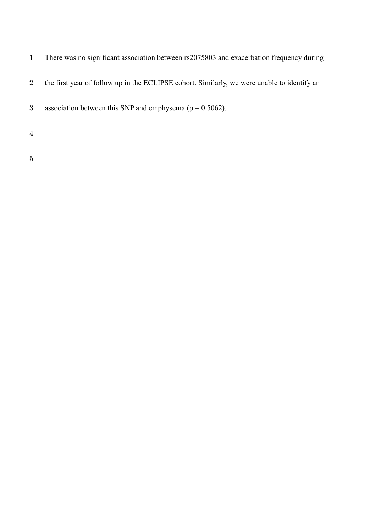| $\mathbf{1}$   | There was no significant association between rs2075803 and exacerbation frequency during    |
|----------------|---------------------------------------------------------------------------------------------|
| $\overline{2}$ | the first year of follow up in the ECLIPSE cohort. Similarly, we were unable to identify an |
| 3              | association between this SNP and emphysima ( $p = 0.5062$ ).                                |
| $\overline{4}$ |                                                                                             |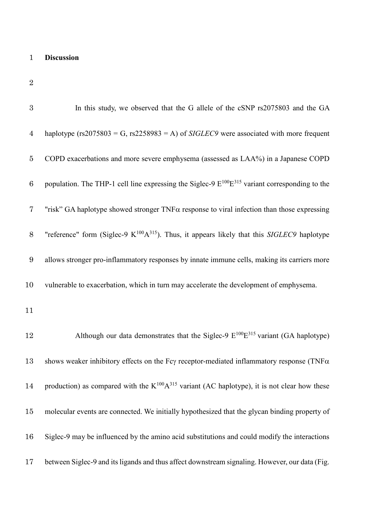### **Discussion**

| $\boldsymbol{3}$ | In this study, we observed that the G allele of the cSNP rs2075803 and the GA                              |
|------------------|------------------------------------------------------------------------------------------------------------|
| $\overline{4}$   | haplotype (rs2075803 = G, rs2258983 = A) of SIGLEC9 were associated with more frequent                     |
| $\overline{5}$   | COPD exacerbations and more severe emphysema (assessed as LAA%) in a Japanese COPD                         |
| $\,6\,$          | population. The THP-1 cell line expressing the Siglec-9 $E^{100}E^{315}$ variant corresponding to the      |
| 7                | "risk" GA haplotype showed stronger $TNF\alpha$ response to viral infection than those expressing          |
| $8\,$            | "reference" form (Siglec-9 $K^{100}A^{315}$ ). Thus, it appears likely that this <i>SIGLEC9</i> haplotype  |
| $\boldsymbol{9}$ | allows stronger pro-inflammatory responses by innate immune cells, making its carriers more                |
| 10               | vulnerable to exacerbation, which in turn may accelerate the development of emphysema.                     |
| 11               |                                                                                                            |
| 12               | Although our data demonstrates that the Siglec-9 $E^{100}E^{315}$ variant (GA haplotype)                   |
| 13               | shows weaker inhibitory effects on the Fc $\gamma$ receptor-mediated inflammatory response (TNF $\alpha$ ) |
| 14               | production) as compared with the $K^{100}A^{315}$ variant (AC haplotype), it is not clear how these        |
| 15               | molecular events are connected. We initially hypothesized that the glycan binding property of              |
| 16               | Siglec-9 may be influenced by the amino acid substitutions and could modify the interactions               |
| 17               | between Siglec-9 and its ligands and thus affect downstream signaling. However, our data (Fig.             |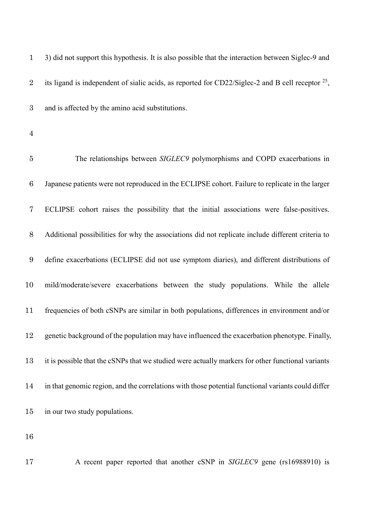| $\mathbf{1}$     | 3) did not support this hypothesis. It is also possible that the interaction between Siglec-9 and      |
|------------------|--------------------------------------------------------------------------------------------------------|
| $\overline{2}$   | its ligand is independent of sialic acids, as reported for CD22/Siglec-2 and B cell receptor $^{25}$ , |
| $\boldsymbol{3}$ | and is affected by the amino acid substitutions.                                                       |
| $\overline{4}$   |                                                                                                        |
| $\overline{5}$   | The relationships between SIGLEC9 polymorphisms and COPD exacerbations in                              |
| 6                | Japanese patients were not reproduced in the ECLIPSE cohort. Failure to replicate in the larger        |
| 7                | ECLIPSE cohort raises the possibility that the initial associations were false-positives.              |
| 8                | Additional possibilities for why the associations did not replicate include different criteria to      |
| $9\phantom{.0}$  | define exacerbations (ECLIPSE did not use symptom diaries), and different distributions of             |
| 10               | mild/moderate/severe exacerbations between the study populations. While the allele                     |
| 11               | frequencies of both cSNPs are similar in both populations, differences in environment and/or           |
| 12               | genetic background of the population may have influenced the exacerbation phenotype. Finally,          |
| 13               | it is possible that the cSNPs that we studied were actually markers for other functional variants      |
| 14               | in that genomic region, and the correlations with those potential functional variants could differ     |
| 15               | in our two study populations.                                                                          |
| 16               |                                                                                                        |

A recent paper reported that another cSNP in *SIGLEC9* gene (rs16988910) is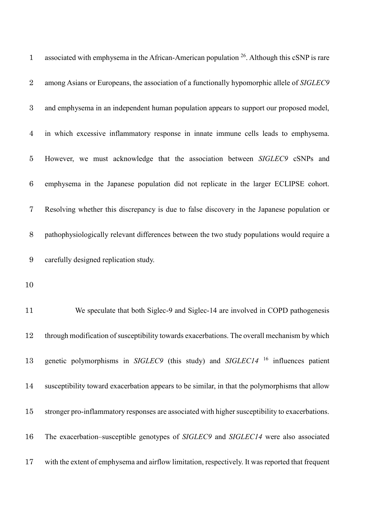| $\mathbf{1}$    | associated with emphysema in the African-American population <sup>26</sup> . Although this cSNP is rare |
|-----------------|---------------------------------------------------------------------------------------------------------|
| $\overline{2}$  | among Asians or Europeans, the association of a functionally hypomorphic allele of SIGLEC9              |
| 3               | and emphysema in an independent human population appears to support our proposed model,                 |
| $\overline{4}$  | in which excessive inflammatory response in innate immune cells leads to emphysema.                     |
| $\overline{5}$  | However, we must acknowledge that the association between SIGLEC9 cSNPs and                             |
| 6               | emphysema in the Japanese population did not replicate in the larger ECLIPSE cohort.                    |
| 7               | Resolving whether this discrepancy is due to false discovery in the Japanese population or              |
| 8               | pathophysiologically relevant differences between the two study populations would require a             |
| $9\phantom{.0}$ | carefully designed replication study.                                                                   |
| 10              |                                                                                                         |
| 11              | We speculate that both Siglec-9 and Siglec-14 are involved in COPD pathogenesis                         |

 We speculate that both Siglec-9 and Siglec-14 are involved in COPD pathogenesis through modification of susceptibility towards exacerbations. The overall mechanism by which 13 genetic polymorphisms in *SIGLEC9* (this study) and *SIGLEC14* <sup>16</sup> influences patient susceptibility toward exacerbation appears to be similar, in that the polymorphisms that allow stronger pro-inflammatory responses are associated with higher susceptibility to exacerbations. The exacerbation–susceptible genotypes of *SIGLEC9* and *SIGLEC14* were also associated with the extent of emphysema and airflow limitation, respectively. It was reported that frequent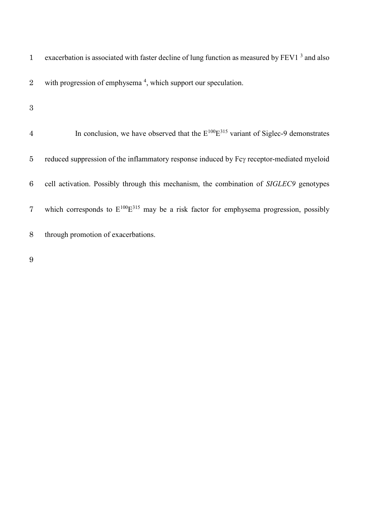| $\mathbf{1}$   | exacerbation is associated with faster decline of lung function as measured by FEV1 <sup>3</sup> and also |
|----------------|-----------------------------------------------------------------------------------------------------------|
| $\overline{2}$ | with progression of emphysima $4$ , which support our speculation.                                        |
| $\overline{3}$ |                                                                                                           |
| $\overline{4}$ | In conclusion, we have observed that the $E^{100}E^{315}$ variant of Siglec-9 demonstrates                |
| $\overline{5}$ | reduced suppression of the inflammatory response induced by Fcy receptor-mediated myeloid                 |
| 6              | cell activation. Possibly through this mechanism, the combination of SIGLEC9 genotypes                    |
| 7              | which corresponds to $E^{100}E^{315}$ may be a risk factor for emphysema progression, possibly            |
| 8              | through promotion of exacerbations.                                                                       |
|                |                                                                                                           |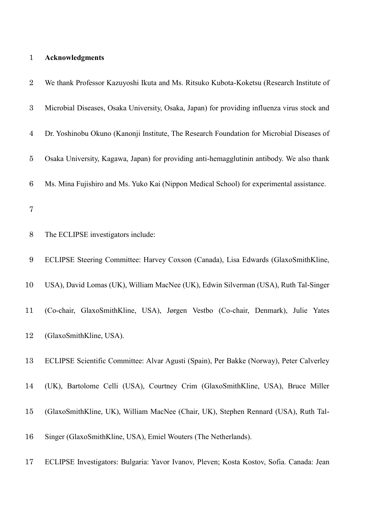## **Acknowledgments**

| $\overline{2}$   | We thank Professor Kazuyoshi Ikuta and Ms. Ritsuko Kubota-Koketsu (Research Institute of    |
|------------------|---------------------------------------------------------------------------------------------|
| $\overline{3}$   | Microbial Diseases, Osaka University, Osaka, Japan) for providing influenza virus stock and |
| $\overline{4}$   | Dr. Yoshinobu Okuno (Kanonji Institute, The Research Foundation for Microbial Diseases of   |
| $\overline{5}$   | Osaka University, Kagawa, Japan) for providing anti-hemagglutinin antibody. We also thank   |
| $\boldsymbol{6}$ | Ms. Mina Fujishiro and Ms. Yuko Kai (Nippon Medical School) for experimental assistance.    |
| 7                |                                                                                             |
| $8\,$            | The ECLIPSE investigators include:                                                          |
| $9\phantom{.0}$  | ECLIPSE Steering Committee: Harvey Coxson (Canada), Lisa Edwards (GlaxoSmithKline,          |
| 10               | USA), David Lomas (UK), William MacNee (UK), Edwin Silverman (USA), Ruth Tal-Singer         |
| 11               | (Co-chair, GlaxoSmithKline, USA), Jørgen Vestbo (Co-chair, Denmark), Julie Yates            |
| 12               | (GlaxoSmithKline, USA).                                                                     |
| 13               | ECLIPSE Scientific Committee: Alvar Agusti (Spain), Per Bakke (Norway), Peter Calverley     |
| 14               | (UK), Bartolome Celli (USA), Courtney Crim (GlaxoSmithKline, USA), Bruce Miller             |
| 15               | (GlaxoSmithKline, UK), William MacNee (Chair, UK), Stephen Rennard (USA), Ruth Tal-         |
| 16               | Singer (GlaxoSmithKline, USA), Emiel Wouters (The Netherlands).                             |
| 17               | ECLIPSE Investigators: Bulgaria: Yavor Ivanov, Pleven; Kosta Kostov, Sofia. Canada: Jean    |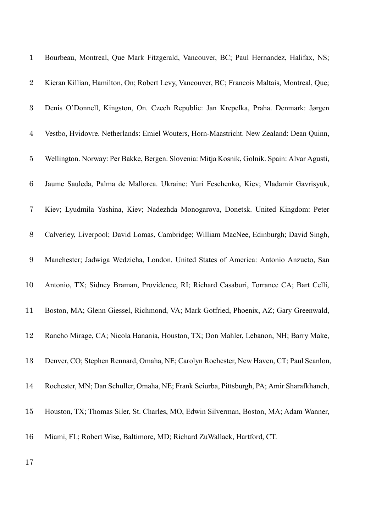| $\mathbf{1}$     | Bourbeau, Montreal, Que Mark Fitzgerald, Vancouver, BC; Paul Hernandez, Halifax, NS;        |
|------------------|---------------------------------------------------------------------------------------------|
| $\overline{2}$   | Kieran Killian, Hamilton, On; Robert Levy, Vancouver, BC; Francois Maltais, Montreal, Que;  |
| $\sqrt{3}$       | Denis O'Donnell, Kingston, On. Czech Republic: Jan Krepelka, Praha. Denmark: Jørgen         |
| $\overline{4}$   | Vestbo, Hvidovre. Netherlands: Emiel Wouters, Horn-Maastricht. New Zealand: Dean Quinn,     |
| $\bf 5$          | Wellington. Norway: Per Bakke, Bergen. Slovenia: Mitja Kosnik, Golnik. Spain: Alvar Agusti, |
| $\,6\,$          | Jaume Sauleda, Palma de Mallorca. Ukraine: Yuri Feschenko, Kiev; Vladamir Gavrisyuk,        |
| 7                | Kiev; Lyudmila Yashina, Kiev; Nadezhda Monogarova, Donetsk. United Kingdom: Peter           |
| 8                | Calverley, Liverpool; David Lomas, Cambridge; William MacNee, Edinburgh; David Singh,       |
| $\boldsymbol{9}$ | Manchester; Jadwiga Wedzicha, London. United States of America: Antonio Anzueto, San        |
| 10               | Antonio, TX; Sidney Braman, Providence, RI; Richard Casaburi, Torrance CA; Bart Celli,      |
| 11               | Boston, MA; Glenn Giessel, Richmond, VA; Mark Gotfried, Phoenix, AZ; Gary Greenwald,        |
| 12               | Rancho Mirage, CA; Nicola Hanania, Houston, TX; Don Mahler, Lebanon, NH; Barry Make,        |
| 13               | Denver, CO; Stephen Rennard, Omaha, NE; Carolyn Rochester, New Haven, CT; Paul Scanlon,     |
| 14               | Rochester, MN; Dan Schuller, Omaha, NE; Frank Sciurba, Pittsburgh, PA; Amir Sharafkhaneh,   |
| 15               | Houston, TX; Thomas Siler, St. Charles, MO, Edwin Silverman, Boston, MA; Adam Wanner,       |
| 16               | Miami, FL; Robert Wise, Baltimore, MD; Richard ZuWallack, Hartford, CT.                     |
| 17               |                                                                                             |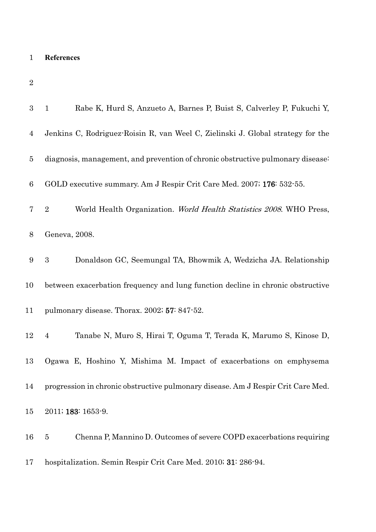#### **References**

| ٠ |
|---|
|   |
|   |
| ł |
|   |
|   |
|   |

| 3              | Rabe K, Hurd S, Anzueto A, Barnes P, Buist S, Calverley P, Fukuchi Y,<br>$\mathbf{1}$  |
|----------------|----------------------------------------------------------------------------------------|
| $\overline{4}$ | Jenkins C, Rodriguez-Roisin R, van Weel C, Zielinski J. Global strategy for the        |
| $\overline{5}$ | diagnosis, management, and prevention of chronic obstructive pulmonary disease:        |
| $\,6$          | GOLD executive summary. Am J Respir Crit Care Med. 2007; 176: 532-55.                  |
| 7              | $\overline{2}$<br>World Health Organization. World Health Statistics 2008. WHO Press,  |
| 8              | Geneva, 2008.                                                                          |
| 9              | 3<br>Donaldson GC, Seemungal TA, Bhowmik A, Wedzicha JA. Relationship                  |
| 10             | between exacerbation frequency and lung function decline in chronic obstructive        |
| 11             | pulmonary disease. Thorax. 2002; 57: 847-52.                                           |
| 12             | Tanabe N, Muro S, Hirai T, Oguma T, Terada K, Marumo S, Kinose D,<br>$\overline{4}$    |
| 13             | Ogawa E, Hoshino Y, Mishima M. Impact of exacerbations on emphysema                    |
| 14             | progression in chronic obstructive pulmonary disease. Am J Respir Crit Care Med.       |
| 15             | 2011; 183: 1653-9.                                                                     |
| 16             | Chenna P, Mannino D. Outcomes of severe COPD exacerbations requiring<br>$\overline{5}$ |
| 17             | hospitalization. Semin Respir Crit Care Med. 2010; 31: 286-94.                         |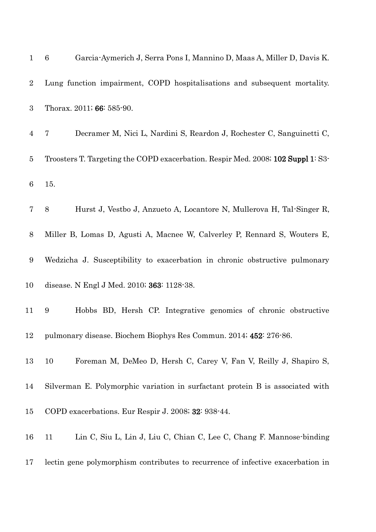| $\mathbf{1}$     | Garcia-Aymerich J, Serra Pons I, Mannino D, Maas A, Miller D, Davis K.<br>$6\phantom{.}6$ |
|------------------|-------------------------------------------------------------------------------------------|
| $\overline{2}$   | Lung function impairment, COPD hospitalisations and subsequent mortality.                 |
| $\boldsymbol{3}$ | Thorax. 2011; 66: 585-90.                                                                 |
| $\overline{4}$   | Decramer M, Nici L, Nardini S, Reardon J, Rochester C, Sanguinetti C,<br>7                |
| $\overline{5}$   | Troosters T. Targeting the COPD exacerbation. Respir Med. 2008; 102 Suppl 1: S3-          |
| $6\phantom{.}6$  | 15.                                                                                       |
| 7                | 8<br>Hurst J, Vestbo J, Anzueto A, Locantore N, Mullerova H, Tal-Singer R,                |
| 8                | Miller B, Lomas D, Agusti A, Macnee W, Calverley P, Rennard S, Wouters E,                 |
| 9                | Wedzicha J. Susceptibility to exacerbation in chronic obstructive pulmonary               |
| 10               | disease. N Engl J Med. 2010; 363: 1128-38.                                                |
| 11               | Hobbs BD, Hersh CP. Integrative genomics of chronic obstructive<br>9                      |
| 12               | pulmonary disease. Biochem Biophys Res Commun. 2014; 452: 276-86.                         |
| 13               | Foreman M, DeMeo D, Hersh C, Carey V, Fan V, Reilly J, Shapiro S,<br>10                   |
| 14               | Silverman E. Polymorphic variation in surfactant protein B is associated with             |
| 15               | COPD exacerbations. Eur Respir J. 2008; 32: 938-44.                                       |
| 16               | Lin C, Siu L, Lin J, Liu C, Chian C, Lee C, Chang F. Mannose-binding<br>11                |
| 17               | lectin gene polymorphism contributes to recurrence of infective exacerbation in           |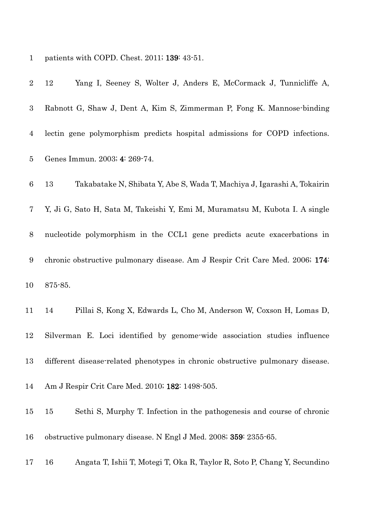patients with COPD. Chest. 2011; 139: 43-51.

| $\overline{2}$   | Yang I, Seeney S, Wolter J, Anders E, McCormack J, Tunnicliffe A,<br>12        |
|------------------|--------------------------------------------------------------------------------|
| $\boldsymbol{3}$ | Rabnott G, Shaw J, Dent A, Kim S, Zimmerman P, Fong K. Mannose-binding         |
| $\overline{4}$   | lectin gene polymorphism predicts hospital admissions for COPD infections.     |
| $\overline{5}$   | Genes Immun. 2003; 4: 269-74.                                                  |
| $6\phantom{.}6$  | 13<br>Takabatake N, Shibata Y, Abe S, Wada T, Machiya J, Igarashi A, Tokairin  |
| 7                | Y, Ji G, Sato H, Sata M, Takeishi Y, Emi M, Muramatsu M, Kubota I. A single    |
| 8                | nucleotide polymorphism in the CCL1 gene predicts acute exacerbations in       |
| 9                | chronic obstructive pulmonary disease. Am J Respir Crit Care Med. 2006; 174:   |
| 10               | 875-85.                                                                        |
| 11               | 14<br>Pillai S, Kong X, Edwards L, Cho M, Anderson W, Coxson H, Lomas D,       |
| 12               | Silverman E. Loci identified by genome-wide association studies influence      |
| 13               | different disease-related phenotypes in chronic obstructive pulmonary disease. |
| 14               | Am J Respir Crit Care Med. 2010; 182: 1498-505.                                |
| 15               | Sethi S, Murphy T. Infection in the pathogenesis and course of chronic<br>15   |
|                  |                                                                                |
| 16               | obstructive pulmonary disease. N Engl J Med. 2008; 359: 2355-65.               |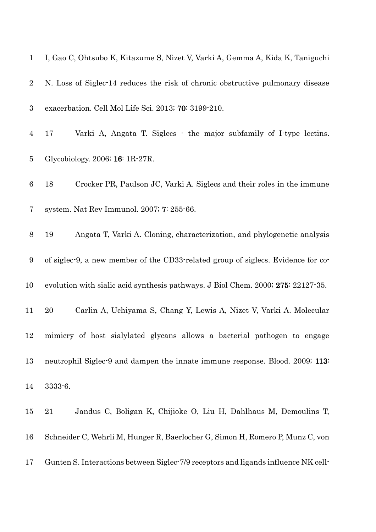| $\mathbf{1}$     | I, Gao C, Ohtsubo K, Kitazume S, Nizet V, Varki A, Gemma A, Kida K, Taniguchi      |
|------------------|------------------------------------------------------------------------------------|
| $\overline{2}$   | N. Loss of Siglec-14 reduces the risk of chronic obstructive pulmonary disease     |
| $\boldsymbol{3}$ | exacerbation. Cell Mol Life Sci. 2013; 70: 3199-210.                               |
| $\overline{4}$   | Varki A, Angata T. Siglecs - the major subfamily of I-type lectins.<br>17          |
| $\overline{5}$   | Glycobiology. 2006; 16: 1R-27R.                                                    |
| 6                | Crocker PR, Paulson JC, Varki A. Siglecs and their roles in the immune<br>18       |
| 7                | system. Nat Rev Immunol. 2007; 7: 255-66.                                          |
| 8                | Angata T, Varki A. Cloning, characterization, and phylogenetic analysis<br>19      |
| 9                | of siglec-9, a new member of the CD33-related group of siglecs. Evidence for co-   |
| 10               | evolution with sialic acid synthesis pathways. J Biol Chem. 2000; 275: 22127-35.   |
| 11               | Carlin A, Uchiyama S, Chang Y, Lewis A, Nizet V, Varki A. Molecular<br>20          |
| 12               | mimicry of host sialylated glycans allows a bacterial pathogen to engage           |
| 13               | neutrophil Siglec-9 and dampen the innate immune response. Blood. 2009; 113:       |
| 14               | $3333 - 6.$                                                                        |
| $15\,$           | Jandus C, Boligan K, Chijioke O, Liu H, Dahlhaus M, Demoulins T,<br>21             |
| 16               | Schneider C, Wehrli M, Hunger R, Baerlocher G, Simon H, Romero P, Munz C, von      |
| 17               | Gunten S. Interactions between Siglec-7/9 receptors and ligands influence NK cell- |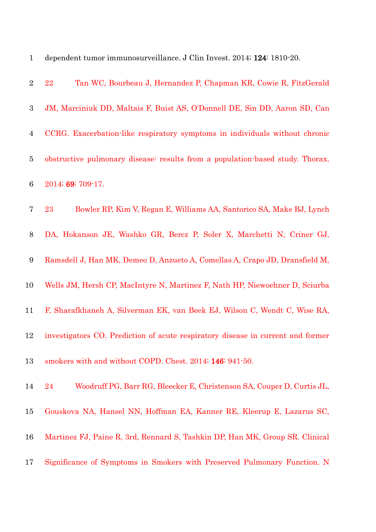| $\mathbf{1}$     | dependent tumor immunosurveillance. J Clin Invest. 2014; 124: 1810-20.          |
|------------------|---------------------------------------------------------------------------------|
| $\overline{2}$   | Tan WC, Bourbeau J, Hernandez P, Chapman KR, Cowie R, FitzGerald<br>22          |
| $\boldsymbol{3}$ | JM, Marciniuk DD, Maltais F, Buist AS, O'Donnell DE, Sin DD, Aaron SD, Can      |
| $\overline{4}$   | CCRG. Exacerbation-like respiratory symptoms in individuals without chronic     |
| $\overline{5}$   | obstructive pulmonary disease: results from a population-based study. Thorax.   |
| $\,6\,$          | 2014; 69: 709-17.                                                               |
| 7                | Bowler RP, Kim V, Regan E, Williams AA, Santorico SA, Make BJ, Lynch<br>23      |
| 8                | DA, Hokanson JE, Washko GR, Bercz P, Soler X, Marchetti N, Criner GJ,           |
| $\boldsymbol{9}$ | Ramsdell J, Han MK, Demeo D, Anzueto A, Comellas A, Crapo JD, Dransfield M,     |
| 10               | Wells JM, Hersh CP, MacIntyre N, Martinez F, Nath HP, Niewoehner D, Sciurba     |
| 11               | F, Sharafkhaneh A, Silverman EK, van Beek EJ, Wilson C, Wendt C, Wise RA,       |
| 12               | investigators CO. Prediction of acute respiratory disease in current and former |
| 13               | smokers with and without COPD. Chest. 2014; 146: 941-50.                        |
| 14               | Woodruff PG, Barr RG, Bleecker E, Christenson SA, Couper D, Curtis JL,<br>24    |
| 15               | Gouskova NA, Hansel NN, Hoffman EA, Kanner RE, Kleerup E, Lazarus SC,           |
| 16               | Martinez FJ, Paine R, 3rd, Rennard S, Tashkin DP, Han MK, Group SR. Clinical    |
| 17               | Significance of Symptoms in Smokers with Preserved Pulmonary Function. N        |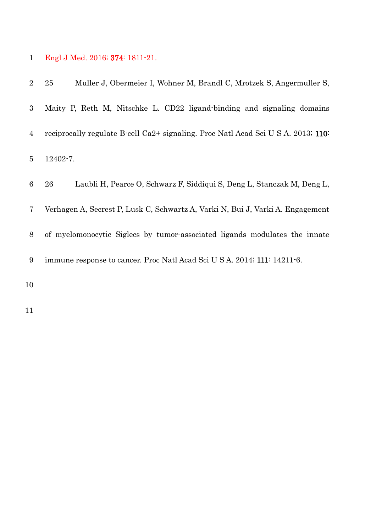## Engl J Med. 2016; 374: 1811-21.

| $\overline{2}$ | Muller J, Obermeier I, Wohner M, Brandl C, Mrotzek S, Angermuller S,<br>25        |
|----------------|-----------------------------------------------------------------------------------|
| 3              | Maity P, Reth M, Nitschke L. CD22 ligand-binding and signaling domains            |
| $\overline{4}$ | reciprocally regulate B-cell Ca2+ signaling. Proc Natl Acad Sci U S A. 2013; 110: |
| $\overline{5}$ | 12402-7.                                                                          |
| 6              | Laubli H, Pearce O, Schwarz F, Siddiqui S, Deng L, Stanczak M, Deng L,<br>26      |
| 7              | Verhagen A, Secrest P, Lusk C, Schwartz A, Varki N, Bui J, Varki A. Engagement    |
| 8              | of myelomonocytic Siglecs by tumor-associated ligands modulates the innate        |
| 9              | immune response to cancer. Proc Natl Acad Sci U S A. 2014; 111: 14211-6.          |
| 10             |                                                                                   |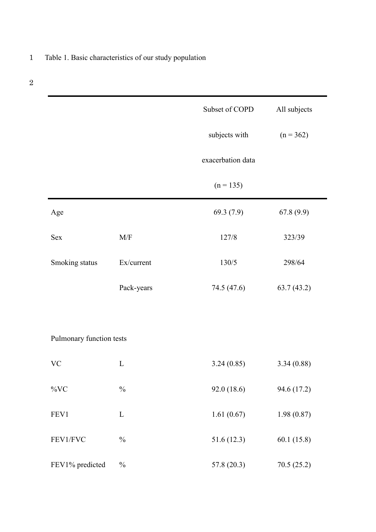|                          |               | Subset of COPD    | All subjects  |
|--------------------------|---------------|-------------------|---------------|
|                          |               | subjects with     | $(n = 362)$   |
|                          |               | exacerbation data |               |
|                          |               | $(n = 135)$       |               |
| Age                      |               | 69.3(7.9)         | 67.8(9.9)     |
| <b>Sex</b>               | M/F           | 127/8             | 323/39        |
| Smoking status           | Ex/current    | 130/5             | 298/64        |
|                          | Pack-years    | 74.5 (47.6)       | 63.7(43.2)    |
|                          |               |                   |               |
| Pulmonary function tests |               |                   |               |
| <b>VC</b>                | L             | 3.24(0.85)        | 3.34(0.88)    |
| $\% \rm VC$              | $\frac{0}{0}$ | 92.0 (18.6)       | 94.6 (17.2)   |
| FEV1                     | $\mathbf L$   | 1.61(0.67)        | 1.98(0.87)    |
| FEV1/FVC                 | $\frac{0}{0}$ | 51.6(12.3)        | 60.1 $(15.8)$ |
| FEV1% predicted          | $\frac{0}{0}$ | 57.8 (20.3)       | 70.5(25.2)    |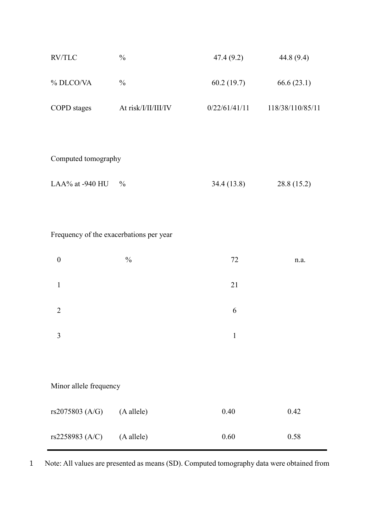| RV/TLC                                  | $\frac{0}{0}$       | 47.4 (9.2)    | 44.8 (9.4)       |
|-----------------------------------------|---------------------|---------------|------------------|
| $\%$ DLCO/VA                            | $\frac{0}{0}$       | 60.2(19.7)    | 66.6(23.1)       |
| COPD stages                             | At risk/I/II/III/IV | 0/22/61/41/11 | 118/38/110/85/11 |
| Computed tomography                     |                     |               |                  |
| LAA% at -940 HU                         | $\frac{0}{0}$       | 34.4(13.8)    | 28.8 (15.2)      |
| Frequency of the exacerbations per year |                     |               |                  |
| $\boldsymbol{0}$                        | $\frac{0}{0}$       | 72            | n.a.             |
| $\mathbf{1}$                            |                     | 21            |                  |
| $\overline{2}$                          |                     | 6             |                  |
| 3                                       |                     | $\mathbf{1}$  |                  |
|                                         |                     |               |                  |
| Minor allele frequency                  |                     |               |                  |
| rs2075803 (A/G)                         | (A allele)          | 0.40          | 0.42             |
| rs2258983 (A/C)                         | (A allele)          | $0.60\,$      | 0.58             |

1 Note: All values are presented as means (SD). Computed tomography data were obtained from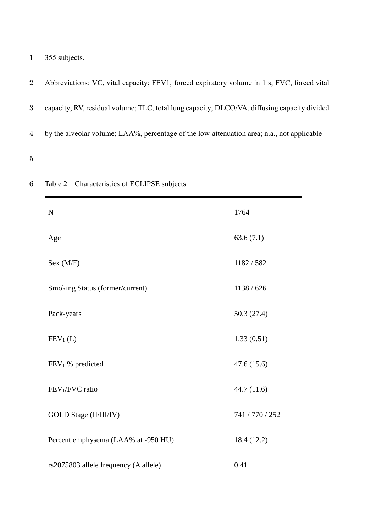1 355 subjects.

| $\overline{2}$ | Abbreviations: VC, vital capacity; FEV1, forced expiratory volume in 1 s; FVC, forced vital  |
|----------------|----------------------------------------------------------------------------------------------|
| 3              | capacity; RV, residual volume; TLC, total lung capacity; DLCO/VA, diffusing capacity divided |
| $\overline{4}$ | by the alveolar volume; LAA%, percentage of the low-attenuation area; n.a., not applicable   |
| 5              |                                                                                              |

| $\mathbf N$                           | 1764            |
|---------------------------------------|-----------------|
| Age                                   | 63.6(7.1)       |
| Sex (M/F)                             | 1182/582        |
| Smoking Status (former/current)       | 1138 / 626      |
| Pack-years                            | 50.3(27.4)      |
| $FEV1$ (L)                            | 1.33(0.51)      |
| $FEV1$ % predicted                    | 47.6(15.6)      |
| FEV1/FVC ratio                        | 44.7 (11.6)     |
| GOLD Stage (II/III/IV)                | 741 / 770 / 252 |
| Percent emphysema (LAA% at -950 HU)   | 18.4 (12.2)     |
| rs2075803 allele frequency (A allele) | 0.41            |

# 6 Table 2 Characteristics of ECLIPSE subjects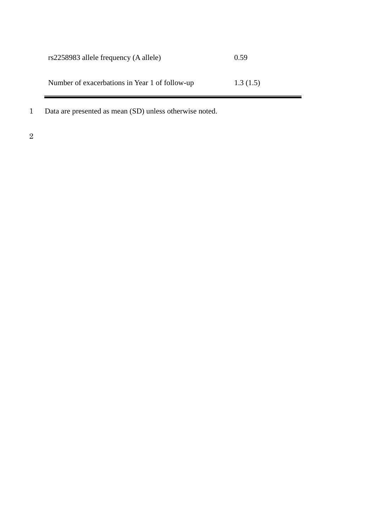| rs2258983 allele frequency (A allele)          | 0.59     |
|------------------------------------------------|----------|
| Number of exacerbations in Year 1 of follow-up | 1.3(1.5) |

1 Data are presented as mean (SD) unless otherwise noted.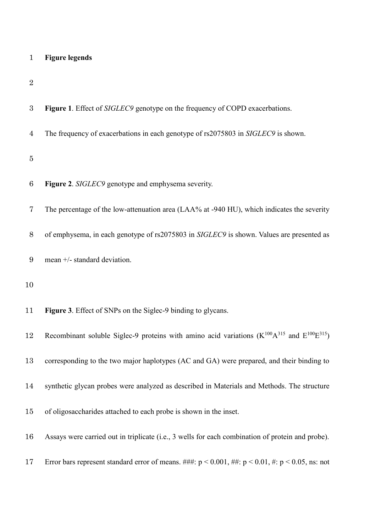|  | <b>Figure legends</b> |  |
|--|-----------------------|--|
|--|-----------------------|--|

| $\overline{3}$ | Figure 1. Effect of SIGLEC9 genotype on the frequency of COPD exacerbations.                               |
|----------------|------------------------------------------------------------------------------------------------------------|
| $\overline{4}$ | The frequency of exacerbations in each genotype of rs2075803 in SIGLEC9 is shown.                          |
| $\bf 5$        |                                                                                                            |
| 6              | Figure 2. SIGLEC9 genotype and emphysema severity.                                                         |
| 7              | The percentage of the low-attenuation area (LAA% at -940 HU), which indicates the severity                 |
| 8              | of emphysema, in each genotype of rs2075803 in SIGLEC9 is shown. Values are presented as                   |
| 9              | mean +/- standard deviation.                                                                               |
| 10             |                                                                                                            |
| 11             | Figure 3. Effect of SNPs on the Siglec-9 binding to glycans.                                               |
| 12             | Recombinant soluble Siglec-9 proteins with amino acid variations ( $K^{100}A^{315}$ and $E^{100}E^{315}$ ) |
| 13             | corresponding to the two major haplotypes (AC and GA) were prepared, and their binding to                  |
| 14             | synthetic glycan probes were analyzed as described in Materials and Methods. The structure                 |
| 15             | of oligosaccharides attached to each probe is shown in the inset.                                          |
| 16             | Assays were carried out in triplicate (i.e., 3 wells for each combination of protein and probe).           |
|                |                                                                                                            |